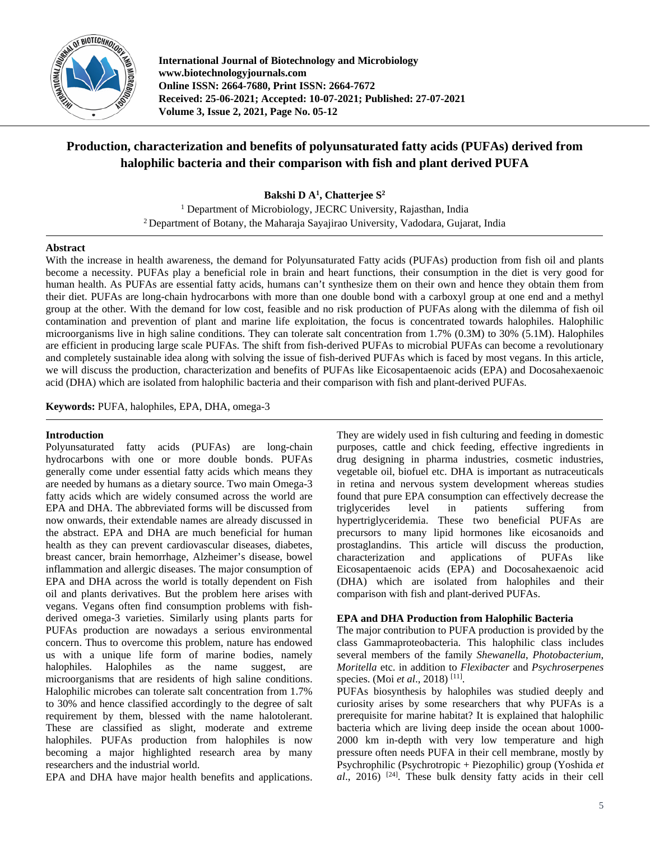

**International Journal of Biotechnology and Microbiology www.biotechnologyjournals.com Online ISSN: 2664-7680, Print ISSN: 2664-7672 Received: 25-06-2021; Accepted: 10-07-2021; Published: 27-07-2021 Volume 3, Issue 2, 2021, Page No. 05-12**

# **Production, characterization and benefits of polyunsaturated fatty acids (PUFAs) derived from halophilic bacteria and their comparison with fish and plant derived PUFA**

**Bakshi D A1 , Chatterjee S2**

<sup>1</sup> Department of Microbiology, JECRC University, Rajasthan, India <sup>2</sup> Department of Botany, the Maharaja Sayajirao University, Vadodara, Gujarat, India

## **Abstract**

With the increase in health awareness, the demand for Polyunsaturated Fatty acids (PUFAs) production from fish oil and plants become a necessity. PUFAs play a beneficial role in brain and heart functions, their consumption in the diet is very good for human health. As PUFAs are essential fatty acids, humans can't synthesize them on their own and hence they obtain them from their diet. PUFAs are long-chain hydrocarbons with more than one double bond with a carboxyl group at one end and a methyl group at the other. With the demand for low cost, feasible and no risk production of PUFAs along with the dilemma of fish oil contamination and prevention of plant and marine life exploitation, the focus is concentrated towards halophiles. Halophilic microorganisms live in high saline conditions. They can tolerate salt concentration from 1.7% (0.3M) to 30% (5.1M). Halophiles are efficient in producing large scale PUFAs. The shift from fish-derived PUFAs to microbial PUFAs can become a revolutionary and completely sustainable idea along with solving the issue of fish-derived PUFAs which is faced by most vegans. In this article, we will discuss the production, characterization and benefits of PUFAs like Eicosapentaenoic acids (EPA) and Docosahexaenoic acid (DHA) which are isolated from halophilic bacteria and their comparison with fish and plant-derived PUFAs.

**Keywords:** PUFA, halophiles, EPA, DHA, omega-3

#### **Introduction**

Polyunsaturated fatty acids (PUFAs) are long-chain hydrocarbons with one or more double bonds. PUFAs generally come under essential fatty acids which means they are needed by humans as a dietary source. Two main Omega-3 fatty acids which are widely consumed across the world are EPA and DHA. The abbreviated forms will be discussed from now onwards, their extendable names are already discussed in the abstract. EPA and DHA are much beneficial for human health as they can prevent cardiovascular diseases, diabetes, breast cancer, brain hemorrhage, Alzheimer's disease, bowel inflammation and allergic diseases. The major consumption of EPA and DHA across the world is totally dependent on Fish oil and plants derivatives. But the problem here arises with vegans. Vegans often find consumption problems with fishderived omega-3 varieties. Similarly using plants parts for PUFAs production are nowadays a serious environmental concern. Thus to overcome this problem, nature has endowed us with a unique life form of marine bodies, namely halophiles. Halophiles as the name suggest, are microorganisms that are residents of high saline conditions. Halophilic microbes can tolerate salt concentration from 1.7% to 30% and hence classified accordingly to the degree of salt requirement by them, blessed with the name halotolerant. These are classified as slight, moderate and extreme halophiles. PUFAs production from halophiles is now becoming a major highlighted research area by many researchers and the industrial world.

EPA and DHA have major health benefits and applications.

They are widely used in fish culturing and feeding in domestic purposes, cattle and chick feeding, effective ingredients in drug designing in pharma industries, cosmetic industries, vegetable oil, biofuel etc. DHA is important as nutraceuticals in retina and nervous system development whereas studies found that pure EPA consumption can effectively decrease the triglycerides level in patients suffering from hypertriglyceridemia. These two beneficial PUFAs are precursors to many lipid hormones like eicosanoids and prostaglandins. This article will discuss the production, characterization and applications of PUFAs like Eicosapentaenoic acids (EPA) and Docosahexaenoic acid (DHA) which are isolated from halophiles and their comparison with fish and plant-derived PUFAs.

#### **EPA and DHA Production from Halophilic Bacteria**

The major contribution to PUFA production is provided by the class Gammaproteobacteria. This halophilic class includes several members of the family *Shewanella*, *Photobacterium*, *Moritella* etc. in addition to *Flexibacter* and *Psychroserpenes*  species. (Moi *et al.*, 2018)<sup>[11]</sup>.

PUFAs biosynthesis by halophiles was studied deeply and curiosity arises by some researchers that why PUFAs is a prerequisite for marine habitat? It is explained that halophilic bacteria which are living deep inside the ocean about 1000- 2000 km in-depth with very low temperature and high pressure often needs PUFA in their cell membrane, mostly by Psychrophilic (Psychrotropic + Piezophilic) group (Yoshida *et al*., 2016) [24] . These bulk density fatty acids in their cell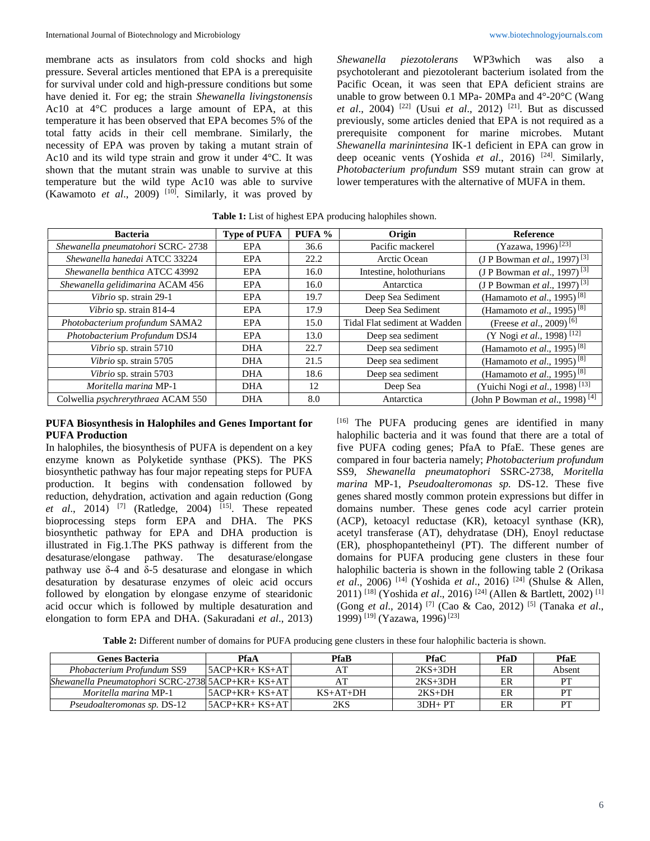membrane acts as insulators from cold shocks and high pressure. Several articles mentioned that EPA is a prerequisite for survival under cold and high-pressure conditions but some have denied it. For eg; the strain *Shewanella livingstonensis*  Ac10 at 4°C produces a large amount of EPA, at this temperature it has been observed that EPA becomes 5% of the total fatty acids in their cell membrane. Similarly, the necessity of EPA was proven by taking a mutant strain of Ac10 and its wild type strain and grow it under 4°C. It was shown that the mutant strain was unable to survive at this temperature but the wild type Ac10 was able to survive (Kawamoto *et al.*, 2009)<sup>[10]</sup>. Similarly, it was proved by *Shewanella piezotolerans* WP3which was also a psychotolerant and piezotolerant bacterium isolated from the Pacific Ocean, it was seen that EPA deficient strains are unable to grow between 0.1 MPa- 20MPa and 4°-20°C (Wang *et al.*, 2004)<sup>[22]</sup> (Usui *et al.*, 2012)<sup>[21]</sup>. But as discussed previously, some articles denied that EPA is not required as a prerequisite component for marine microbes. Mutant *Shewanella marinintesina* IK-1 deficient in EPA can grow in deep oceanic vents (Yoshida *et al.*, 2016)<sup>[24]</sup>. Similarly, *Photobacterium profundum* SS9 mutant strain can grow at lower temperatures with the alternative of MUFA in them.

| <b>Bacteria</b>                           | <b>Type of PUFA</b> | PUFA % | Origin                        | Reference                                        |
|-------------------------------------------|---------------------|--------|-------------------------------|--------------------------------------------------|
| Shewanella pneumatohori SCRC-2738         | EPA                 | 36.6   | Pacific mackerel              | (Yazawa, 1996) <sup>[23]</sup>                   |
| Shewanella hanedai ATCC 33224             | EPA                 | 22.2   | Arctic Ocean                  | (J P Bowman <i>et al.</i> , 1997) <sup>[3]</sup> |
| Shewanella benthica ATCC 43992            | EPA                 | 16.0   | Intestine, holothurians       | (J P Bowman <i>et al.</i> , 1997) <sup>[3]</sup> |
| Shewanella gelidimarina ACAM 456          | EPA                 | 16.0   | Antarctica                    | (J P Bowman <i>et al.</i> , 1997) <sup>[3]</sup> |
| Vibrio sp. strain 29-1                    | EPA                 | 19.7   | Deep Sea Sediment             | (Hamamoto et al., 1995) <sup>[8]</sup>           |
| Vibrio sp. strain 814-4                   | EPA                 | 17.9   | Deep Sea Sediment             | (Hamamoto et al., 1995) <sup>[8]</sup>           |
| Photobacterium profundum SAMA2            | <b>EPA</b>          | 15.0   | Tidal Flat sediment at Wadden | (Freese <i>et al.</i> , 2009) <sup>[6]</sup>     |
| Photobacterium Profundum DSJ4             | EPA                 | 13.0   | Deep sea sediment             | (Y Nogi et al., 1998) <sup>[12]</sup>            |
| Vibrio sp. strain 5710                    | <b>DHA</b>          | 22.7   | Deep sea sediment             | (Hamamoto <i>et al.</i> , 1995) <sup>[8]</sup>   |
| Vibrio sp. strain 5705                    | <b>DHA</b>          | 21.5   | Deep sea sediment             | (Hamamoto <i>et al.</i> , 1995) <sup>[8]</sup>   |
| Vibrio sp. strain 5703                    | <b>DHA</b>          | 18.6   | Deep sea sediment             | (Hamamoto <i>et al.</i> , 1995) <sup>[8]</sup>   |
| Moritella marina MP-1                     | <b>DHA</b>          | 12     | Deep Sea                      | (Yuichi Nogi et al., 1998) <sup>[13]</sup>       |
| Colwellia <i>psychrerythraea</i> ACAM 550 | <b>DHA</b>          | 8.0    | Antarctica                    | (John P Bowman et al., 1998) <sup>[4]</sup>      |

**Table 1:** List of highest EPA producing halophiles shown.

#### **PUFA Biosynthesis in Halophiles and Genes Important for PUFA Production**

In halophiles, the biosynthesis of PUFA is dependent on a key enzyme known as Polyketide synthase (PKS). The PKS biosynthetic pathway has four major repeating steps for PUFA production. It begins with condensation followed by reduction, dehydration, activation and again reduction (Gong *et al*., 2014) [7] (Ratledge, 2004) [15] . These repeated bioprocessing steps form EPA and DHA. The PKS biosynthetic pathway for EPA and DHA production is illustrated in Fig.1.The PKS pathway is different from the desaturase/elongase pathway. The desaturase/elongase pathway use δ-4 and δ-5 desaturase and elongase in which desaturation by desaturase enzymes of oleic acid occurs followed by elongation by elongase enzyme of stearidonic acid occur which is followed by multiple desaturation and elongation to form EPA and DHA. (Sakuradani *et al*., 2013) [16] The PUFA producing genes are identified in many halophilic bacteria and it was found that there are a total of five PUFA coding genes; PfaA to PfaE. These genes are compared in four bacteria namely; *Photobacterium profundum*  SS9, *Shewanella pneumatophori* SSRC-2738, *Moritella marina* MP-1, *Pseudoalteromonas sp.* DS-12. These five genes shared mostly common protein expressions but differ in domains number. These genes code acyl carrier protein (ACP), ketoacyl reductase (KR), ketoacyl synthase (KR), acetyl transferase (AT), dehydratase (DH), Enoyl reductase (ER), phosphopantetheinyl (PT). The different number of domains for PUFA producing gene clusters in these four halophilic bacteria is shown in the following table 2 (Orikasa *et al*., 2006) [14] (Yoshida *et al*., 2016) [24] (Shulse & Allen, 2011) [18] (Yoshida *et al*., 2016) [24] (Allen & Bartlett, 2002) [1] (Gong *et al*., 2014) [7] (Cao & Cao, 2012) [5] (Tanaka *et al*., 1999) [19] (Yazawa, 1996)[23]

**Table 2:** Different number of domains for PUFA producing gene clusters in these four halophilic bacteria is shown.

| <b>Genes Bacteria</b>                             | PfaA             | PfaB       | PfaC       | PfaD | PfaE   |
|---------------------------------------------------|------------------|------------|------------|------|--------|
| Phobacterium Profundum SS9                        | $5ACP+KR+KS+AT$  |            | $2KS+3DH$  | ER   | Absent |
| Shewanella Pneumatophori SCRC-2738 5ACP+KR+ KS+AT |                  |            | $2KS+3DH$  | ER   | PТ     |
| <i>Moritella marina</i> MP-1                      | $15ACP+KR+KS+AT$ | $KS+AT+DH$ | $2KS+DH$   | ER   | PТ     |
| <i>Pseudoalteromonas sp. DS-12</i>                | $5ACP+KR+KS+AT$  | 2KS        | $3DH + PT$ | ER   | PТ     |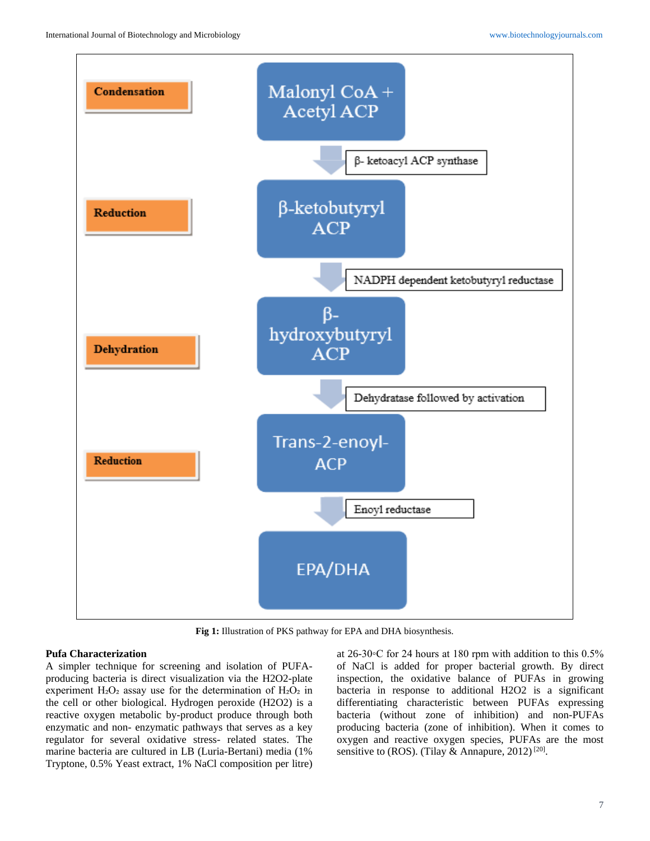

**Fig 1:** Illustration of PKS pathway for EPA and DHA biosynthesis.

# **Pufa Characterization**

A simpler technique for screening and isolation of PUFAproducing bacteria is direct visualization via the H2O2-plate experiment  $H_2O_2$  assay use for the determination of  $H_2O_2$  in the cell or other biological. Hydrogen peroxide (H2O2) is a reactive oxygen metabolic by-product produce through both enzymatic and non- enzymatic pathways that serves as a key regulator for several oxidative stress- related states. The marine bacteria are cultured in LB (Luria-Bertani) media (1% Tryptone, 0.5% Yeast extract, 1% NaCl composition per litre)

at 26-30◦C for 24 hours at 180 rpm with addition to this 0.5% of NaCl is added for proper bacterial growth. By direct inspection, the oxidative balance of PUFAs in growing bacteria in response to additional H2O2 is a significant differentiating characteristic between PUFAs expressing bacteria (without zone of inhibition) and non-PUFAs producing bacteria (zone of inhibition). When it comes to oxygen and reactive oxygen species, PUFAs are the most sensitive to (ROS). (Tilay & Annapure, 2012)<sup>[20]</sup>.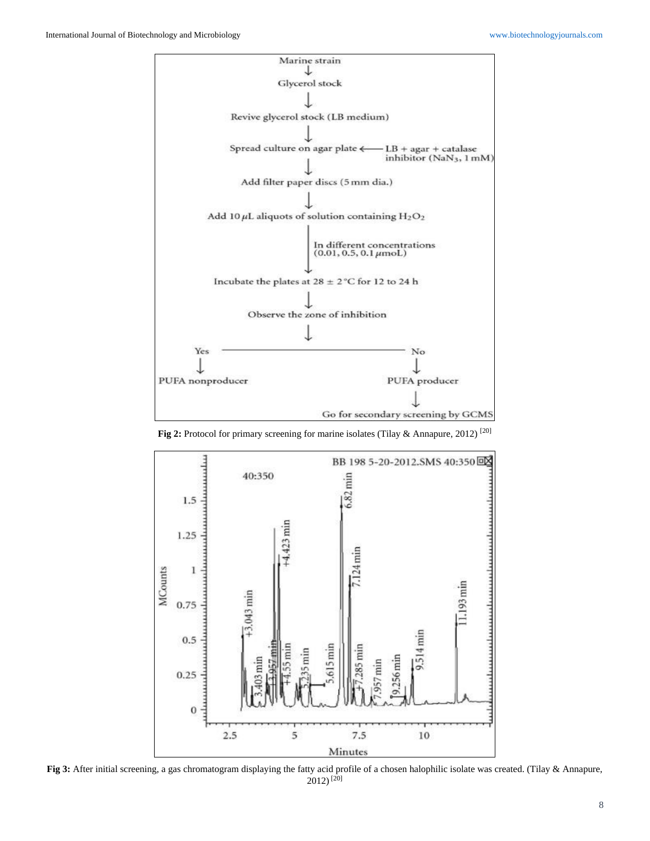

**Fig 2:** Protocol for primary screening for marine isolates (Tilay & Annapure, 2012) [20]



**Fig 3:** After initial screening, a gas chromatogram displaying the fatty acid profile of a chosen halophilic isolate was created. (Tilay & Annapure,  $2012$ <sup>[20]</sup>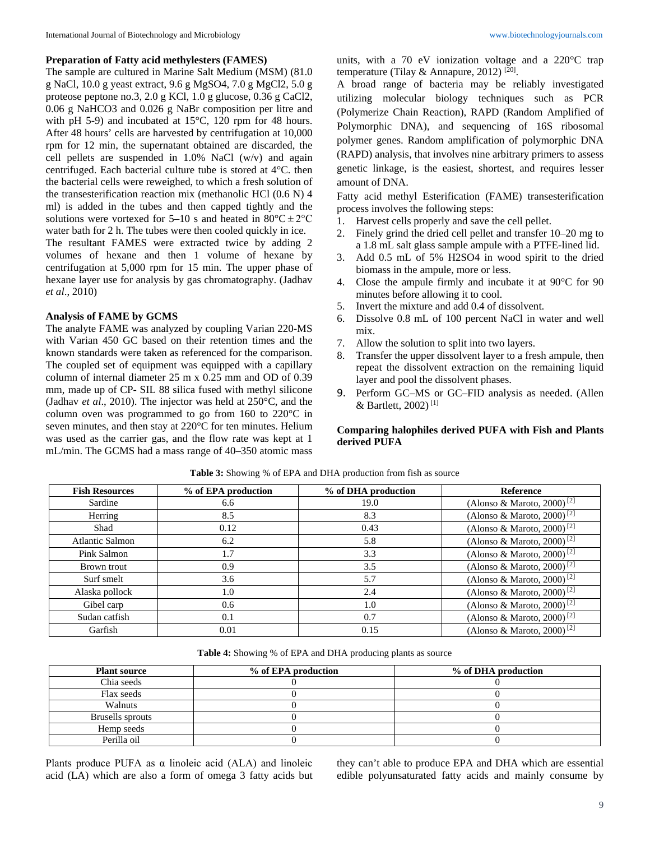#### **Preparation of Fatty acid methylesters (FAMES)**

The sample are cultured in Marine Salt Medium (MSM) (81.0 g NaCl, 10.0 g yeast extract, 9.6 g MgSO4, 7.0 g MgCl2, 5.0 g proteose peptone no.3, 2.0 g KCl, 1.0 g glucose, 0.36 g CaCl2, 0.06 g NaHCO3 and 0.026 g NaBr composition per litre and with pH 5-9) and incubated at 15°C, 120 rpm for 48 hours. After 48 hours' cells are harvested by centrifugation at 10,000 rpm for 12 min, the supernatant obtained are discarded, the cell pellets are suspended in 1.0% NaCl (w/v) and again centrifuged. Each bacterial culture tube is stored at 4°C. then the bacterial cells were reweighed, to which a fresh solution of the transesterification reaction mix (methanolic HCl (0.6 N) 4 ml) is added in the tubes and then capped tightly and the solutions were vortexed for 5–10 s and heated in  $80^{\circ}C \pm 2^{\circ}C$ water bath for 2 h. The tubes were then cooled quickly in ice.

The resultant FAMES were extracted twice by adding 2 volumes of hexane and then 1 volume of hexane by centrifugation at 5,000 rpm for 15 min. The upper phase of hexane layer use for analysis by gas chromatography. (Jadhav *et al*., 2010)

#### **Analysis of FAME by GCMS**

The analyte FAME was analyzed by coupling Varian 220-MS with Varian 450 GC based on their retention times and the known standards were taken as referenced for the comparison. The coupled set of equipment was equipped with a capillary column of internal diameter 25 m x 0.25 mm and OD of 0.39 mm, made up of CP- SIL 88 silica fused with methyl silicone (Jadhav *et al*., 2010). The injector was held at 250°C, and the column oven was programmed to go from 160 to 220°C in seven minutes, and then stay at 220°C for ten minutes. Helium was used as the carrier gas, and the flow rate was kept at 1 mL/min. The GCMS had a mass range of 40–350 atomic mass

units, with a 70 eV ionization voltage and a 220°C trap temperature (Tilay & Annapure, 2012)<sup>[20]</sup>.

A broad range of bacteria may be reliably investigated utilizing molecular biology techniques such as PCR (Polymerize Chain Reaction), RAPD (Random Amplified of Polymorphic DNA), and sequencing of 16S ribosomal polymer genes. Random amplification of polymorphic DNA (RAPD) analysis, that involves nine arbitrary primers to assess genetic linkage, is the easiest, shortest, and requires lesser amount of DNA.

Fatty acid methyl Esterification (FAME) transesterification process involves the following steps:

- 1. Harvest cells properly and save the cell pellet.
- 2. Finely grind the dried cell pellet and transfer 10–20 mg to a 1.8 mL salt glass sample ampule with a PTFE-lined lid.
- 3. Add 0.5 mL of 5% H2SO4 in wood spirit to the dried biomass in the ampule, more or less.
- 4. Close the ampule firmly and incubate it at 90°C for 90 minutes before allowing it to cool.
- 5. Invert the mixture and add 0.4 of dissolvent.
- 6. Dissolve 0.8 mL of 100 percent NaCl in water and well mix.
- 7. Allow the solution to split into two layers.
- 8. Transfer the upper dissolvent layer to a fresh ampule, then repeat the dissolvent extraction on the remaining liquid layer and pool the dissolvent phases.
- 9. Perform GC–MS or GC–FID analysis as needed. (Allen & Bartlett,  $2002$ <sup>[1]</sup>

## **Comparing halophiles derived PUFA with Fish and Plants derived PUFA**

| <b>Fish Resources</b>  | % of EPA production | % of DHA production | Reference                              |
|------------------------|---------------------|---------------------|----------------------------------------|
| Sardine                | 6.6                 | 19.0                | (Alonso & Maroto, 2000) <sup>[2]</sup> |
| Herring                | 8.5                 | 8.3                 | (Alonso & Maroto, 2000) <sup>[2]</sup> |
| Shad                   | 0.12                | 0.43                | (Alonso & Maroto, 2000) <sup>[2]</sup> |
| <b>Atlantic Salmon</b> | 6.2                 | 5.8                 | (Alonso & Maroto, 2000) <sup>[2]</sup> |
| Pink Salmon            | 1.7                 | 3.3                 | (Alonso & Maroto, 2000) <sup>[2]</sup> |
| Brown trout            | 0.9                 | 3.5                 | (Alonso & Maroto, 2000) <sup>[2]</sup> |
| Surf smelt             | 3.6                 | 5.7                 | (Alonso & Maroto, 2000) <sup>[2]</sup> |
| Alaska pollock         | 1.0                 | 2.4                 | (Alonso & Maroto, 2000) <sup>[2]</sup> |
| Gibel carp             | 0.6                 | 1.0                 | (Alonso & Maroto, 2000) <sup>[2]</sup> |
| Sudan catfish          | 0.1                 | 0.7                 | (Alonso & Maroto, 2000) <sup>[2]</sup> |
| Garfish                | 0.01                | 0.15                | (Alonso & Maroto, 2000) <sup>[2]</sup> |

**Table 3:** Showing % of EPA and DHA production from fish as source

**Table 4:** Showing % of EPA and DHA producing plants as source

| <b>Plant source</b> | % of EPA production | % of DHA production |
|---------------------|---------------------|---------------------|
| Chia seeds          |                     |                     |
| Flax seeds          |                     |                     |
| <b>Walnuts</b>      |                     |                     |
| Brusells sprouts    |                     |                     |
| Hemp seeds          |                     |                     |
| Perilla oil         |                     |                     |

Plants produce PUFA as α linoleic acid (ALA) and linoleic acid (LA) which are also a form of omega 3 fatty acids but they can't able to produce EPA and DHA which are essential edible polyunsaturated fatty acids and mainly consume by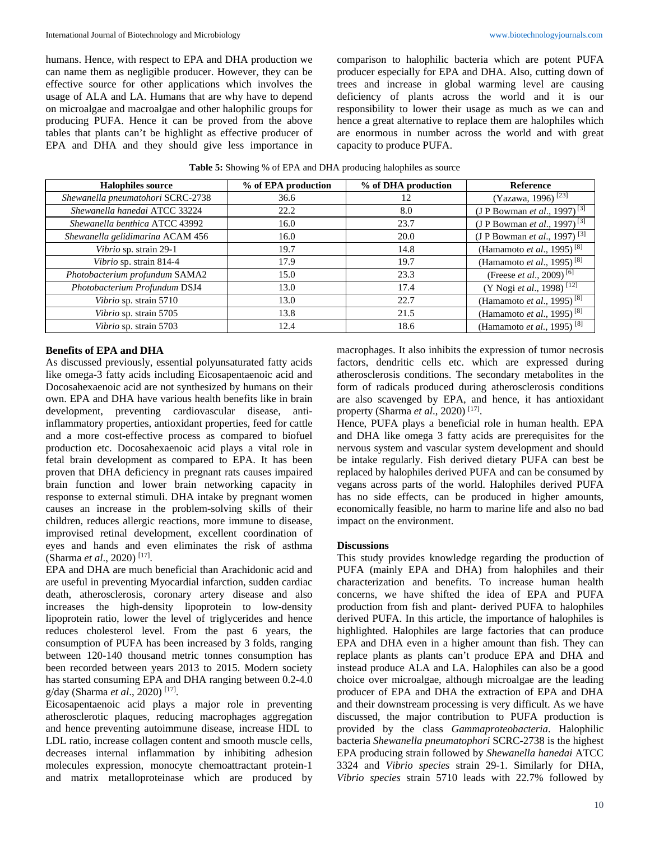humans. Hence, with respect to EPA and DHA production we can name them as negligible producer. However, they can be effective source for other applications which involves the usage of ALA and LA. Humans that are why have to depend on microalgae and macroalgae and other halophilic groups for producing PUFA. Hence it can be proved from the above tables that plants can't be highlight as effective producer of EPA and DHA and they should give less importance in comparison to halophilic bacteria which are potent PUFA producer especially for EPA and DHA. Also, cutting down of trees and increase in global warming level are causing deficiency of plants across the world and it is our responsibility to lower their usage as much as we can and hence a great alternative to replace them are halophiles which are enormous in number across the world and with great capacity to produce PUFA.

**Table 5:** Showing % of EPA and DHA producing halophiles as source

| <b>Halophiles source</b>          | % of EPA production | % of DHA production | Reference                                        |
|-----------------------------------|---------------------|---------------------|--------------------------------------------------|
| Shewanella pneumatohori SCRC-2738 | 36.6                | 12                  | (Yazawa, 1996) <sup>[23]</sup>                   |
| Shewanella hanedai ATCC 33224     | 22.2                | 8.0                 | (J P Bowman <i>et al.</i> , 1997) <sup>[3]</sup> |
| Shewanella benthica ATCC 43992    | 16.0                | 23.7                | (J P Bowman <i>et al.</i> , 1997) <sup>[3]</sup> |
| Shewanella gelidimarina ACAM 456  | 16.0                | 20.0                | (J P Bowman <i>et al.</i> , 1997) <sup>[3]</sup> |
| Vibrio sp. strain 29-1            | 19.7                | 14.8                | (Hamamoto <i>et al.</i> , 1995) <sup>[8]</sup>   |
| Vibrio sp. strain 814-4           | 17.9                | 19.7                | (Hamamoto et al., 1995) <sup>[8]</sup>           |
| Photobacterium profundum SAMA2    | 15.0                | 23.3                | (Freese et al., 2009) <sup>[6]</sup>             |
| Photobacterium Profundum DSJ4     | 13.0                | 17.4                | (Y Nogi et al., 1998) <sup>[12]</sup>            |
| Vibrio sp. strain 5710            | 13.0                | 22.7                | (Hamamoto et al., 1995) $\sqrt{8}$               |
| Vibrio sp. strain 5705            | 13.8                | 21.5                | (Hamamoto et al., 1995) <sup>[8]</sup>           |
| Vibrio sp. strain 5703            | 12.4                | 18.6                | (Hamamoto et al., 1995) <sup>[8]</sup>           |

## **Benefits of EPA and DHA**

As discussed previously, essential polyunsaturated fatty acids like omega-3 fatty acids including Eicosapentaenoic acid and Docosahexaenoic acid are not synthesized by humans on their own. EPA and DHA have various health benefits like in brain development, preventing cardiovascular disease, antiinflammatory properties, antioxidant properties, feed for cattle and a more cost-effective process as compared to biofuel production etc. Docosahexaenoic acid plays a vital role in fetal brain development as compared to EPA. It has been proven that DHA deficiency in pregnant rats causes impaired brain function and lower brain networking capacity in response to external stimuli. DHA intake by pregnant women causes an increase in the problem-solving skills of their children, reduces allergic reactions, more immune to disease, improvised retinal development, excellent coordination of eyes and hands and even eliminates the risk of asthma (Sharma *et al*., 2020) [17] .

EPA and DHA are much beneficial than Arachidonic acid and are useful in preventing Myocardial infarction, sudden cardiac death, atherosclerosis, coronary artery disease and also increases the high-density lipoprotein to low-density lipoprotein ratio, lower the level of triglycerides and hence reduces cholesterol level. From the past 6 years, the consumption of PUFA has been increased by 3 folds, ranging between 120-140 thousand metric tonnes consumption has been recorded between years 2013 to 2015. Modern society has started consuming EPA and DHA ranging between 0.2-4.0 g/day (Sharma *et al*., 2020) [17] .

Eicosapentaenoic acid plays a major role in preventing atherosclerotic plaques, reducing macrophages aggregation and hence preventing autoimmune disease, increase HDL to LDL ratio, increase collagen content and smooth muscle cells, decreases internal inflammation by inhibiting adhesion molecules expression, monocyte chemoattractant protein-1 and matrix metalloproteinase which are produced by

macrophages. It also inhibits the expression of tumor necrosis factors, dendritic cells etc. which are expressed during atherosclerosis conditions. The secondary metabolites in the form of radicals produced during atherosclerosis conditions are also scavenged by EPA, and hence, it has antioxidant property (Sharma *et al*., 2020) [17] .

Hence, PUFA plays a beneficial role in human health. EPA and DHA like omega 3 fatty acids are prerequisites for the nervous system and vascular system development and should be intake regularly. Fish derived dietary PUFA can best be replaced by halophiles derived PUFA and can be consumed by vegans across parts of the world. Halophiles derived PUFA has no side effects, can be produced in higher amounts, economically feasible, no harm to marine life and also no bad impact on the environment.

#### **Discussions**

This study provides knowledge regarding the production of PUFA (mainly EPA and DHA) from halophiles and their characterization and benefits. To increase human health concerns, we have shifted the idea of EPA and PUFA production from fish and plant- derived PUFA to halophiles derived PUFA. In this article, the importance of halophiles is highlighted. Halophiles are large factories that can produce EPA and DHA even in a higher amount than fish. They can replace plants as plants can't produce EPA and DHA and instead produce ALA and LA. Halophiles can also be a good choice over microalgae, although microalgae are the leading producer of EPA and DHA the extraction of EPA and DHA and their downstream processing is very difficult. As we have discussed, the major contribution to PUFA production is provided by the class *Gammaproteobacteria*. Halophilic bacteria *Shewanella pneumatophori* SCRC-2738 is the highest EPA producing strain followed by *Shewanella hanedai* ATCC 3324 and *Vibrio species* strain 29-1. Similarly for DHA, *Vibrio species* strain 5710 leads with 22.7% followed by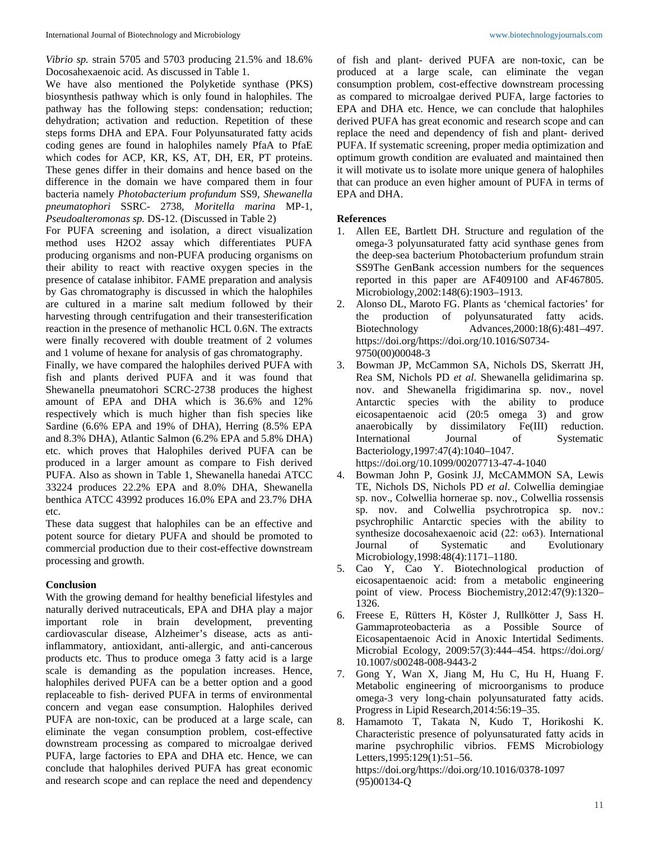*Vibrio sp.* strain 5705 and 5703 producing 21.5% and 18.6% Docosahexaenoic acid. As discussed in Table 1.

We have also mentioned the Polyketide synthase (PKS) biosynthesis pathway which is only found in halophiles. The pathway has the following steps: condensation; reduction; dehydration; activation and reduction. Repetition of these steps forms DHA and EPA. Four Polyunsaturated fatty acids coding genes are found in halophiles namely PfaA to PfaE which codes for ACP, KR, KS, AT, DH, ER, PT proteins. These genes differ in their domains and hence based on the difference in the domain we have compared them in four bacteria namely *Photobacterium profundum* SS9, *Shewanella pneumatophori* SSRC- 2738, *Moritella marina* MP-1, *Pseudoalteromonas sp.* DS-12. (Discussed in Table 2)

For PUFA screening and isolation, a direct visualization method uses H2O2 assay which differentiates PUFA producing organisms and non-PUFA producing organisms on their ability to react with reactive oxygen species in the presence of catalase inhibitor. FAME preparation and analysis by Gas chromatography is discussed in which the halophiles are cultured in a marine salt medium followed by their harvesting through centrifugation and their transesterification reaction in the presence of methanolic HCL 0.6N. The extracts were finally recovered with double treatment of 2 volumes and 1 volume of hexane for analysis of gas chromatography.

Finally, we have compared the halophiles derived PUFA with fish and plants derived PUFA and it was found that Shewanella pneumatohori SCRC-2738 produces the highest amount of EPA and DHA which is 36.6% and 12% respectively which is much higher than fish species like Sardine (6.6% EPA and 19% of DHA), Herring (8.5% EPA and 8.3% DHA), Atlantic Salmon (6.2% EPA and 5.8% DHA) etc. which proves that Halophiles derived PUFA can be produced in a larger amount as compare to Fish derived PUFA. Also as shown in Table 1, Shewanella hanedai ATCC 33224 produces 22.2% EPA and 8.0% DHA, Shewanella benthica ATCC 43992 produces 16.0% EPA and 23.7% DHA etc.

These data suggest that halophiles can be an effective and potent source for dietary PUFA and should be promoted to commercial production due to their cost-effective downstream processing and growth.

## **Conclusion**

With the growing demand for healthy beneficial lifestyles and naturally derived nutraceuticals, EPA and DHA play a major important role in brain development, preventing cardiovascular disease, Alzheimer's disease, acts as antiinflammatory, antioxidant, anti-allergic, and anti-cancerous products etc. Thus to produce omega 3 fatty acid is a large scale is demanding as the population increases. Hence, halophiles derived PUFA can be a better option and a good replaceable to fish- derived PUFA in terms of environmental concern and vegan ease consumption. Halophiles derived PUFA are non-toxic, can be produced at a large scale, can eliminate the vegan consumption problem, cost-effective downstream processing as compared to microalgae derived PUFA, large factories to EPA and DHA etc. Hence, we can conclude that halophiles derived PUFA has great economic and research scope and can replace the need and dependency of fish and plant- derived PUFA are non-toxic, can be produced at a large scale, can eliminate the vegan consumption problem, cost-effective downstream processing as compared to microalgae derived PUFA, large factories to EPA and DHA etc. Hence, we can conclude that halophiles derived PUFA has great economic and research scope and can replace the need and dependency of fish and plant- derived PUFA. If systematic screening, proper media optimization and optimum growth condition are evaluated and maintained then it will motivate us to isolate more unique genera of halophiles that can produce an even higher amount of PUFA in terms of EPA and DHA.

## **References**

- 1. Allen EE, Bartlett DH. Structure and regulation of the omega-3 polyunsaturated fatty acid synthase genes from the deep-sea bacterium Photobacterium profundum strain SS9The GenBank accession numbers for the sequences reported in this paper are AF409100 and AF467805. Microbiology,2002:148(6):1903–1913.
- 2. Alonso DL, Maroto FG. Plants as 'chemical factories' for the production of polyunsaturated fatty acids. Biotechnology Advances,2000:18(6):481–497. https://doi.org/https://doi.org/10.1016/S0734- 9750(00)00048-3
- 3. Bowman JP, McCammon SA, Nichols DS, Skerratt JH, Rea SM, Nichols PD *et al*. Shewanella gelidimarina sp. nov. and Shewanella frigidimarina sp. nov., novel Antarctic species with the ability to produce eicosapentaenoic acid (20:5 omega 3) and grow anaerobically by dissimilatory Fe(III) reduction. International Journal of Systematic Bacteriology,1997:47(4):1040–1047. https://doi.org/10.1099/00207713-47-4-1040
- 4. Bowman John P, Gosink JJ, McCAMMON SA, Lewis TE, Nichols DS, Nichols PD *et al*. Colwellia demingiae sp. nov., Colwellia hornerae sp. nov., Colwellia rossensis sp. nov. and Colwellia psychrotropica sp. nov.: psychrophilic Antarctic species with the ability to synthesize docosahexaenoic acid (22: ω63). International Journal of Systematic and Evolutionary Microbiology,1998:48(4):1171–1180.
- 5. Cao Y, Cao Y. Biotechnological production of eicosapentaenoic acid: from a metabolic engineering point of view. Process Biochemistry,2012:47(9):1320– 1326.
- 6. Freese E, Rütters H, Köster J, Rullkötter J, Sass H. Gammaproteobacteria as a Possible Source of Eicosapentaenoic Acid in Anoxic Intertidal Sediments. Microbial Ecology, 2009:57(3):444–454. https://doi.org/ 10.1007/s00248-008-9443-2
- 7. Gong Y, Wan X, Jiang M, Hu C, Hu H, Huang F. Metabolic engineering of microorganisms to produce omega-3 very long-chain polyunsaturated fatty acids. Progress in Lipid Research,2014:56:19–35.
- 8. Hamamoto T, Takata N, Kudo T, Horikoshi K. Characteristic presence of polyunsaturated fatty acids in marine psychrophilic vibrios. FEMS Microbiology Letters,1995:129(1):51–56. https://doi.org/https://doi.org/10.1016/0378-1097 (95)00134-Q